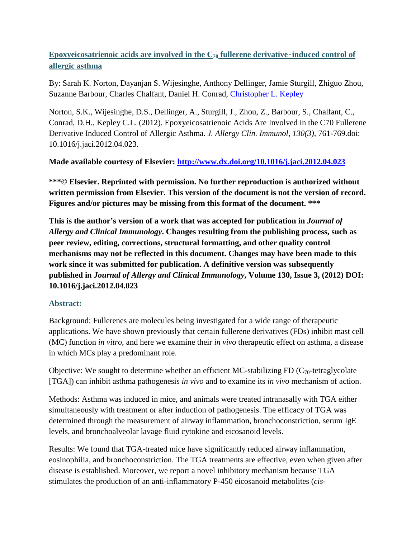# **Epoxyeicosatrienoic acids are involved in the C70 fullerene derivative**–**induced control of allergic asthma**

By: Sarah K. Norton, Dayanjan S. Wijesinghe, Anthony Dellinger, Jamie Sturgill, Zhiguo Zhou, Suzanne Barbour, Charles Chalfant, Daniel H. Conrad, [Christopher L. Kepley](http://libres.uncg.edu/ir/uncg/clist.aspx?id=8161)

Norton, S.K., Wijesinghe, D.S., Dellinger, A., Sturgill, J., Zhou, Z., Barbour, S., Chalfant, C., Conrad, D.H., Kepley C.L. (2012). Epoxyeicosatrienoic Acids Are Involved in the C70 Fullerene Derivative Induced Control of Allergic Asthma. *J. Allergy Clin. Immunol*, *130(3)*, 761-769.doi: 10.1016/j.jaci.2012.04.023.

## **Made available courtesy of Elsevier:<http://www.dx.doi.org/10.1016/j.jaci.2012.04.023>**

**\*\*\*© Elsevier. Reprinted with permission. No further reproduction is authorized without written permission from Elsevier. This version of the document is not the version of record. Figures and/or pictures may be missing from this format of the document. \*\*\***

**This is the author's version of a work that was accepted for publication in** *Journal of Allergy and Clinical Immunology***. Changes resulting from the publishing process, such as peer review, editing, corrections, structural formatting, and other quality control mechanisms may not be reflected in this document. Changes may have been made to this work since it was submitted for publication. A definitive version was subsequently published in** *Journal of Allergy and Clinical Immunology***, Volume 130, Issue 3, (2012) DOI: 10.1016/j.jaci.2012.04.023**

### **Abstract:**

Background: Fullerenes are molecules being investigated for a wide range of therapeutic applications. We have shown previously that certain fullerene derivatives (FDs) inhibit mast cell (MC) function *in vitro*, and here we examine their *in vivo* therapeutic effect on asthma, a disease in which MCs play a predominant role.

Objective: We sought to determine whether an efficient MC-stabilizing FD ( $C_{70}$ -tetraglycolate [TGA]) can inhibit asthma pathogenesis *in vivo* and to examine its *in vivo* mechanism of action.

Methods: Asthma was induced in mice, and animals were treated intranasally with TGA either simultaneously with treatment or after induction of pathogenesis. The efficacy of TGA was determined through the measurement of airway inflammation, bronchoconstriction, serum IgE levels, and bronchoalveolar lavage fluid cytokine and eicosanoid levels.

Results: We found that TGA-treated mice have significantly reduced airway inflammation, eosinophilia, and bronchoconstriction. The TGA treatments are effective, even when given after disease is established. Moreover, we report a novel inhibitory mechanism because TGA stimulates the production of an anti-inflammatory P-450 eicosanoid metabolites (*cis*-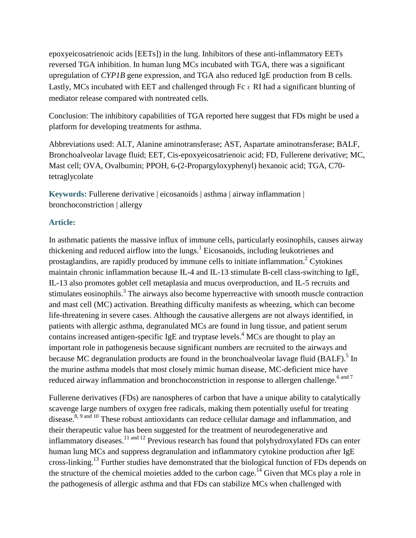epoxyeicosatrienoic acids [EETs]) in the lung. Inhibitors of these anti-inflammatory EETs reversed TGA inhibition. In human lung MCs incubated with TGA, there was a significant upregulation of *CYP1B* gene expression, and TGA also reduced IgE production from B cells. Lastly, MCs incubated with EET and challenged through Fc  $\epsilon$  RI had a significant blunting of mediator release compared with nontreated cells.

Conclusion: The inhibitory capabilities of TGA reported here suggest that FDs might be used a platform for developing treatments for asthma.

Abbreviations used: ALT, Alanine aminotransferase; AST, Aspartate aminotransferase; BALF, Bronchoalveolar lavage fluid; EET, Cis-epoxyeicosatrienoic acid; FD, Fullerene derivative; MC, Mast cell; OVA, Ovalbumin; PPOH, 6-(2-Propargyloxyphenyl) hexanoic acid; TGA, C70 tetraglycolate

**Keywords:** Fullerene derivative | eicosanoids | asthma | airway inflammation | bronchoconstriction | allergy

## **Article:**

In asthmatic patients the massive influx of immune cells, particularly eosinophils, causes airway thickening and reduced airflow into the lungs.<sup>1</sup> Eicosanoids, including leukotrienes and prostaglandins, are rapidly produced by immune cells to initiate inflammation.<sup>2</sup> Cytokines maintain chronic inflammation because IL-4 and IL-13 stimulate B-cell class-switching to IgE, IL-13 also promotes goblet cell metaplasia and mucus overproduction, and IL-5 recruits and stimulates eosinophils.<sup>3</sup> The airways also become hyperreactive with smooth muscle contraction and mast cell (MC) activation. Breathing difficulty manifests as wheezing, which can become life-threatening in severe cases. Although the causative allergens are not always identified, in patients with allergic asthma, degranulated MCs are found in lung tissue, and patient serum contains increased antigen-specific IgE and tryptase levels.<sup>4</sup> MCs are thought to play an important role in pathogenesis because significant numbers are recruited to the airways and because MC degranulation products are found in the bronchoalveolar lavage fluid  $(BALF)$ <sup>5</sup>. In the murine asthma models that most closely mimic human disease, MC-deficient mice have reduced airway inflammation and bronchoconstriction in response to allergen challenge.<sup>6 and 7</sup>

Fullerene derivatives (FDs) are nanospheres of carbon that have a unique ability to catalytically scavenge large numbers of oxygen free radicals, making them potentially useful for treating disease.<sup>8, 9 and 10</sup> These robust antioxidants can reduce cellular damage and inflammation, and their therapeutic value has been suggested for the treatment of neurodegenerative and inflammatory diseases.<sup>11 and 12</sup> Previous research has found that polyhydroxylated FDs can enter human lung MCs and suppress degranulation and inflammatory cytokine production after IgE cross-linking.<sup>13</sup> Further studies have demonstrated that the biological function of FDs depends on the structure of the chemical moieties added to the carbon cage.<sup>14</sup> Given that MCs play a role in the pathogenesis of allergic asthma and that FDs can stabilize MCs when challenged with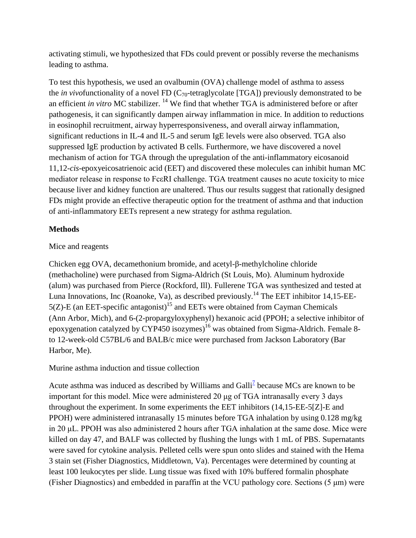activating stimuli, we hypothesized that FDs could prevent or possibly reverse the mechanisms leading to asthma.

To test this hypothesis, we used an ovalbumin (OVA) challenge model of asthma to assess the *in vivo*functionality of a novel FD (C70-tetraglycolate [TGA]) previously demonstrated to be an efficient *in vitro* MC stabilizer. <sup>14</sup> We find that whether TGA is administered before or after pathogenesis, it can significantly dampen airway inflammation in mice. In addition to reductions in eosinophil recruitment, airway hyperresponsiveness, and overall airway inflammation, significant reductions in IL-4 and IL-5 and serum IgE levels were also observed. TGA also suppressed IgE production by activated B cells. Furthermore, we have discovered a novel mechanism of action for TGA through the upregulation of the anti-inflammatory eicosanoid 11,12-*cis*-epoxyeicosatrienoic acid (EET) and discovered these molecules can inhibit human MC mediator release in response to FcεRI challenge. TGA treatment causes no acute toxicity to mice because liver and kidney function are unaltered. Thus our results suggest that rationally designed FDs might provide an effective therapeutic option for the treatment of asthma and that induction of anti-inflammatory EETs represent a new strategy for asthma regulation.

## **Methods**

## Mice and reagents

Chicken egg OVA, decamethonium bromide, and acetyl-β-methylcholine chloride (methacholine) were purchased from Sigma-Aldrich (St Louis, Mo). Aluminum hydroxide (alum) was purchased from Pierce (Rockford, Ill). Fullerene TGA was synthesized and tested at Luna Innovations, Inc (Roanoke, Va), as described previously.<sup>14</sup> The EET inhibitor 14,15-EE- $5(Z)$ -E (an EET-specific antagonist)<sup>15</sup> and EETs were obtained from Cayman Chemicals (Ann Arbor, Mich), and 6-(2-propargyloxyphenyl) hexanoic acid (PPOH; a selective inhibitor of epoxygenation catalyzed by CYP450 isozymes)<sup>16</sup> was obtained from Sigma-Aldrich. Female 8to 12-week-old C57BL/6 and BALB/c mice were purchased from Jackson Laboratory (Bar Harbor, Me).

Murine asthma induction and tissue collection

Acute asthma was induced as described by Williams and Galli<sup> $7$ </sup> because MCs are known to be important for this model. Mice were administered 20 μg of TGA intranasally every 3 days throughout the experiment. In some experiments the EET inhibitors (14,15-EE-5[Z]-E and PPOH) were administered intranasally 15 minutes before TGA inhalation by using 0.128 mg/kg in 20 μL. PPOH was also administered 2 hours after TGA inhalation at the same dose. Mice were killed on day 47, and BALF was collected by flushing the lungs with 1 mL of PBS. Supernatants were saved for cytokine analysis. Pelleted cells were spun onto slides and stained with the Hema 3 stain set (Fisher Diagnostics, Middletown, Va). Percentages were determined by counting at least 100 leukocytes per slide. Lung tissue was fixed with 10% buffered formalin phosphate (Fisher Diagnostics) and embedded in paraffin at the VCU pathology core. Sections (5 μm) were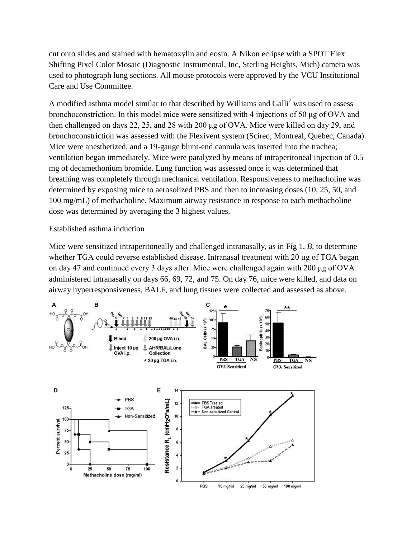cut onto slides and stained with hematoxylin and eosin. A Nikon eclipse with a SPOT Flex Shifting Pixel Color Mosaic (Diagnostic Instrumental, Inc, Sterling Heights, Mich) camera was used to photograph lung sections. All mouse protocols were approved by the VCU Institutional Care and Use Committee.

A modified asthma model similar to that described by Williams and Galli<sup>7</sup> was used to assess bronchoconstriction. In this model mice were sensitized with 4 injections of 50 μg of OVA and then challenged on days 22, 25, and 28 with 200 μg of OVA. Mice were killed on day 29, and bronchoconstriction was assessed with the Flexivent system (Scireq, Montreal, Quebec, Canada). Mice were anesthetized, and a 19-gauge blunt-end cannula was inserted into the trachea; ventilation began immediately. Mice were paralyzed by means of intraperitoneal injection of 0.5 mg of decamethonium bromide. Lung function was assessed once it was determined that breathing was completely through mechanical ventilation. Responsiveness to methacholine was determined by exposing mice to aerosolized PBS and then to increasing doses (10, 25, 50, and 100 mg/mL) of methacholine. Maximum airway resistance in response to each methacholine dose was determined by averaging the 3 highest values.

#### Established asthma induction

Mice were sensitized intraperitoneally and challenged intranasally, as in Fig 1, *B*, to determine whether TGA could reverse established disease. Intranasal treatment with 20 μg of TGA began on day 47 and continued every 3 days after. Mice were challenged again with 200 μg of OVA administered intranasally on days 66, 69, 72, and 75. On day 76, mice were killed, and data on airway hyperresponsiveness, BALF, and lung tissues were collected and assessed as above.

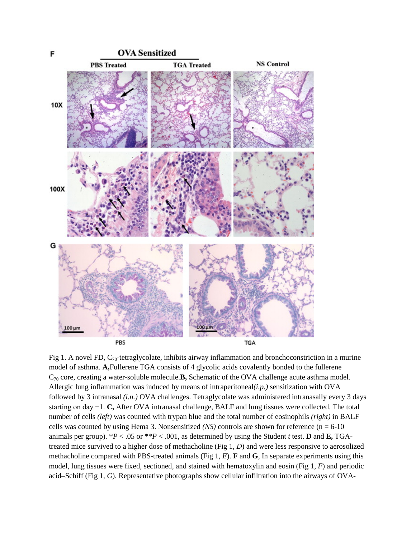

Fig 1. A novel FD,  $C_{70}$ -tetraglycolate, inhibits airway inflammation and bronchoconstriction in a murine model of asthma. **A,**Fullerene TGA consists of 4 glycolic acids covalently bonded to the fullerene C70 core, creating a water-soluble molecule.**B,** Schematic of the OVA challenge acute asthma model. Allergic lung inflammation was induced by means of intraperitoneal*(i.p.)* sensitization with OVA followed by 3 intranasal *(i.n.)* OVA challenges. Tetraglycolate was administered intranasally every 3 days starting on day −1. **C,** After OVA intranasal challenge, BALF and lung tissues were collected. The total number of cells *(left)* was counted with trypan blue and the total number of eosinophils *(right)* in BALF cells was counted by using Hema 3. Nonsensitized *(NS)* controls are shown for reference  $(n = 6-10)$ animals per group).  $*P < .05$  or  $**P < .001$ , as determined by using the Student *t* test. **D** and **E**, TGAtreated mice survived to a higher dose of methacholine (Fig 1, *D*) and were less responsive to aerosolized methacholine compared with PBS-treated animals (Fig 1, *E*). **F** and **G**, In separate experiments using this model, lung tissues were fixed, sectioned, and stained with hematoxylin and eosin (Fig 1, *F*) and periodic acid–Schiff (Fig 1, *G*). Representative photographs show cellular infiltration into the airways of OVA-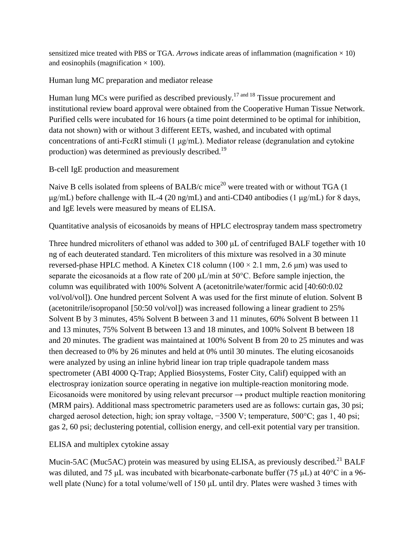sensitized mice treated with PBS or TGA. *Arrows* indicate areas of inflammation (magnification  $\times$  10) and eosinophils (magnification  $\times$  100).

Human lung MC preparation and mediator release

Human lung MCs were purified as described previously.<sup>17 and 18</sup> Tissue procurement and institutional review board approval were obtained from the Cooperative Human Tissue Network. Purified cells were incubated for 16 hours (a time point determined to be optimal for inhibition, data not shown) with or without 3 different EETs, washed, and incubated with optimal concentrations of anti-FcεRI stimuli (1 μg/mL). Mediator release (degranulation and cytokine production) was determined as previously described.<sup>19</sup>

B-cell IgE production and measurement

Naive B cells isolated from spleens of BALB/c mice<sup>20</sup> were treated with or without TGA  $(1)$ μg/mL) before challenge with IL-4 (20 ng/mL) and anti-CD40 antibodies (1 μg/mL) for 8 days, and IgE levels were measured by means of ELISA.

Quantitative analysis of eicosanoids by means of HPLC electrospray tandem mass spectrometry

Three hundred microliters of ethanol was added to 300 µL of centrifuged BALF together with 10 ng of each deuterated standard. Ten microliters of this mixture was resolved in a 30 minute reversed-phase HPLC method. A Kinetex C18 column ( $100 \times 2.1$  mm, 2.6  $\mu$ m) was used to separate the eicosanoids at a flow rate of 200 μL/min at 50°C. Before sample injection, the column was equilibrated with 100% Solvent A (acetonitrile/water/formic acid [40:60:0.02 vol/vol/vol]). One hundred percent Solvent A was used for the first minute of elution. Solvent B (acetonitrile/isopropanol [50:50 vol/vol]) was increased following a linear gradient to 25% Solvent B by 3 minutes, 45% Solvent B between 3 and 11 minutes, 60% Solvent B between 11 and 13 minutes, 75% Solvent B between 13 and 18 minutes, and 100% Solvent B between 18 and 20 minutes. The gradient was maintained at 100% Solvent B from 20 to 25 minutes and was then decreased to 0% by 26 minutes and held at 0% until 30 minutes. The eluting eicosanoids were analyzed by using an inline hybrid linear ion trap triple quadrapole tandem mass spectrometer (ABI 4000 Q-Trap; Applied Biosystems, Foster City, Calif) equipped with an electrospray ionization source operating in negative ion multiple-reaction monitoring mode. Eicosanoids were monitored by using relevant precursor  $\rightarrow$  product multiple reaction monitoring (MRM pairs). Additional mass spectrometric parameters used are as follows: curtain gas, 30 psi; charged aerosol detection, high; ion spray voltage, −3500 V; temperature, 500°C; gas 1, 40 psi; gas 2, 60 psi; declustering potential, collision energy, and cell-exit potential vary per transition.

ELISA and multiplex cytokine assay

Mucin-5AC (Muc5AC) protein was measured by using ELISA, as previously described.<sup>21</sup> BALF was diluted, and 75 μL was incubated with bicarbonate-carbonate buffer (75 μL) at 40°C in a 96 well plate (Nunc) for a total volume/well of 150 μL until dry. Plates were washed 3 times with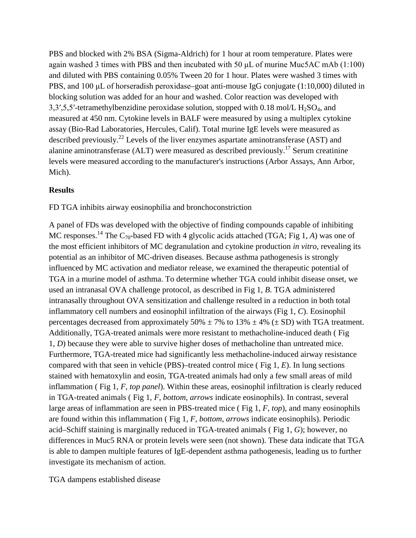PBS and blocked with 2% BSA (Sigma-Aldrich) for 1 hour at room temperature. Plates were again washed 3 times with PBS and then incubated with 50 μL of murine Muc5AC mAb (1:100) and diluted with PBS containing 0.05% Tween 20 for 1 hour. Plates were washed 3 times with PBS, and 100 μL of horseradish peroxidase–goat anti-mouse IgG conjugate (1:10,000) diluted in blocking solution was added for an hour and washed. Color reaction was developed with 3,3',5,5'-tetramethylbenzidine peroxidase solution, stopped with  $0.18 \text{ mol/L H}_2\text{SO}_4$ , and measured at 450 nm. Cytokine levels in BALF were measured by using a multiplex cytokine assay (Bio-Rad Laboratories, Hercules, Calif). Total murine IgE levels were measured as described previously.<sup>22</sup> Levels of the liver enzymes aspartate aminotransferase (AST) and alanine aminotransferase (ALT) were measured as described previously.<sup>17</sup> Serum creatinine levels were measured according to the manufacturer's instructions (Arbor Assays, Ann Arbor, Mich).

#### **Results**

FD TGA inhibits airway eosinophilia and bronchoconstriction

A panel of FDs was developed with the objective of finding compounds capable of inhibiting MC responses.<sup>14</sup> The C<sub>70</sub>-based FD with 4 glycolic acids attached (TGA; Fig 1, *A*) was one of the most efficient inhibitors of MC degranulation and cytokine production *in vitro*, revealing its potential as an inhibitor of MC-driven diseases. Because asthma pathogenesis is strongly influenced by MC activation and mediator release, we examined the therapeutic potential of TGA in a murine model of asthma. To determine whether TGA could inhibit disease onset, we used an intranasal OVA challenge protocol, as described in Fig 1, *B*. TGA administered intranasally throughout OVA sensitization and challenge resulted in a reduction in both total inflammatory cell numbers and eosinophil infiltration of the airways (Fig 1, *C*). Eosinophil percentages decreased from approximately 50%  $\pm$  7% to 13%  $\pm$  4% ( $\pm$  SD) with TGA treatment. Additionally, TGA-treated animals were more resistant to methacholine-induced death ( Fig 1, *D*) because they were able to survive higher doses of methacholine than untreated mice. Furthermore, TGA-treated mice had significantly less methacholine-induced airway resistance compared with that seen in vehicle (PBS)–treated control mice ( Fig 1, *E*). In lung sections stained with hematoxylin and eosin, TGA-treated animals had only a few small areas of mild inflammation ( Fig 1, *F*, *top panel*). Within these areas, eosinophil infiltration is clearly reduced in TGA-treated animals ( Fig 1, *F*, *bottom*, *arrows* indicate eosinophils). In contrast, several large areas of inflammation are seen in PBS-treated mice ( Fig 1, *F*, *top*), and many eosinophils are found within this inflammation ( Fig 1, *F*, *bottom*, *arrows* indicate eosinophils). Periodic acid–Schiff staining is marginally reduced in TGA-treated animals ( Fig 1, *G*); however, no differences in Muc5 RNA or protein levels were seen (not shown). These data indicate that TGA is able to dampen multiple features of IgE-dependent asthma pathogenesis, leading us to further investigate its mechanism of action.

TGA dampens established disease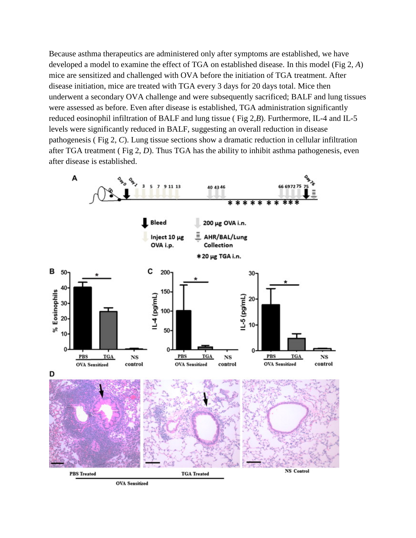Because asthma therapeutics are administered only after symptoms are established, we have developed a model to examine the effect of TGA on established disease. In this model (Fig 2, *A*) mice are sensitized and challenged with OVA before the initiation of TGA treatment. After disease initiation, mice are treated with TGA every 3 days for 20 days total. Mice then underwent a secondary OVA challenge and were subsequently sacrificed; BALF and lung tissues were assessed as before. Even after disease is established, TGA administration significantly reduced eosinophil infiltration of BALF and lung tissue ( Fig 2,*B*). Furthermore, IL-4 and IL-5 levels were significantly reduced in BALF, suggesting an overall reduction in disease pathogenesis ( Fig 2, *C*). Lung tissue sections show a dramatic reduction in cellular infiltration after TGA treatment ( Fig 2, *D*). Thus TGA has the ability to inhibit asthma pathogenesis, even after disease is established.

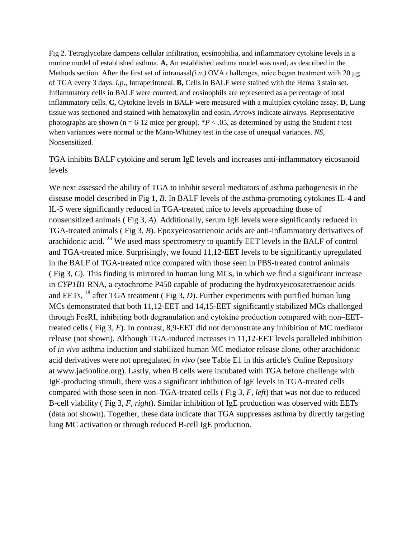Fig 2. Tetraglycolate dampens cellular infiltration, eosinophilia, and inflammatory cytokine levels in a murine model of established asthma. **A,** An established asthma model was used, as described in the Methods section. After the first set of intranasal*(i.n.)* OVA challenges, mice began treatment with 20 μg of TGA every 3 days. *i.p*., Intraperitoneal. **B,** Cells in BALF were stained with the Hema 3 stain set. Inflammatory cells in BALF were counted, and eosinophils are represented as a percentage of total inflammatory cells. **C,** Cytokine levels in BALF were measured with a multiplex cytokine assay. **D,** Lung tissue was sectioned and stained with hematoxylin and eosin. *Arrows* indicate airways. Representative photographs are shown ( $n = 6-12$  mice per group). \**P* < .05, as determined by using the Student *t* test when variances were normal or the Mann-Whitney test in the case of unequal variances. *NS*, Nonsensitized.

TGA inhibits BALF cytokine and serum IgE levels and increases anti-inflammatory eicosanoid levels

We next assessed the ability of TGA to inhibit several mediators of asthma pathogenesis in the disease model described in Fig 1, *B*. In BALF levels of the asthma-promoting cytokines IL-4 and IL-5 were significantly reduced in TGA-treated mice to levels approaching those of nonsensitized animals ( Fig 3, *A*). Additionally, serum IgE levels were significantly reduced in TGA-treated animals ( Fig 3, *B*). Epoxyeicosatrienoic acids are anti-inflammatory derivatives of arachidonic acid.  $^{23}$  We used mass spectrometry to quantify EET levels in the BALF of control and TGA-treated mice. Surprisingly, we found 11,12-EET levels to be significantly upregulated in the BALF of TGA-treated mice compared with those seen in PBS-treated control animals ( Fig 3, *C*). This finding is mirrored in human lung MCs, in which we find a significant increase in *CYP1B1* RNA, a cytochrome P450 capable of producing the hydroxyeicosatetraenoic acids and EETs,  $^{18}$  after TGA treatment (Fig 3, D). Further experiments with purified human lung MCs demonstrated that both 11,12-EET and 14,15-EET significantly stabilized MCs challenged through FcεRI, inhibiting both degranulation and cytokine production compared with non–EETtreated cells ( Fig 3, *E*). In contrast, 8,9-EET did not demonstrate any inhibition of MC mediator release (not shown). Although TGA-induced increases in 11,12-EET levels paralleled inhibition of *in vivo* asthma induction and stabilized human MC mediator release alone, other arachidonic acid derivatives were not upregulated *in vivo* (see Table E1 in this article's Online Repository at www.jacionline.org). Lastly, when B cells were incubated with TGA before challenge with IgE-producing stimuli, there was a significant inhibition of IgE levels in TGA-treated cells compared with those seen in non–TGA-treated cells ( Fig 3, *F*, *left*) that was not due to reduced B-cell viability ( Fig 3, *F*, *right*). Similar inhibition of IgE production was observed with EETs (data not shown). Together, these data indicate that TGA suppresses asthma by directly targeting lung MC activation or through reduced B-cell IgE production.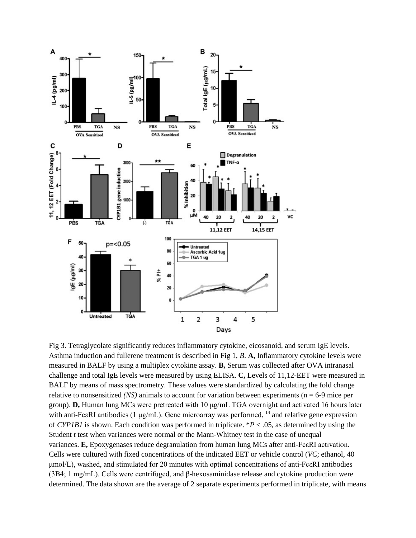

Fig 3. Tetraglycolate significantly reduces inflammatory cytokine, eicosanoid, and serum IgE levels. Asthma induction and fullerene treatment is described in Fig 1, *B*. **A,** Inflammatory cytokine levels were measured in BALF by using a multiplex cytokine assay. **B,** Serum was collected after OVA intranasal challenge and total IgE levels were measured by using ELISA. **C,** Levels of 11,12-EET were measured in BALF by means of mass spectrometry. These values were standardized by calculating the fold change relative to nonsensitized *(NS)* animals to account for variation between experiments ( $n = 6-9$  mice per group). **D,** Human lung MCs were pretreated with 10 μg/mL TGA overnight and activated 16 hours later with anti-FcεRI antibodies (1 μg/mL). Gene microarray was performed, <sup>14</sup> and relative gene expression of *CYP1B1* is shown. Each condition was performed in triplicate. \**P* < .05, as determined by using the Student *t* test when variances were normal or the Mann-Whitney test in the case of unequal variances. **E,** Epoxygenases reduce degranulation from human lung MCs after anti-FcεRI activation. Cells were cultured with fixed concentrations of the indicated EET or vehicle control (*VC*; ethanol, 40 μmol/L), washed, and stimulated for 20 minutes with optimal concentrations of anti-FcεRI antibodies (3B4; 1 mg/mL). Cells were centrifuged, and β-hexosaminidase release and cytokine production were determined. The data shown are the average of 2 separate experiments performed in triplicate, with means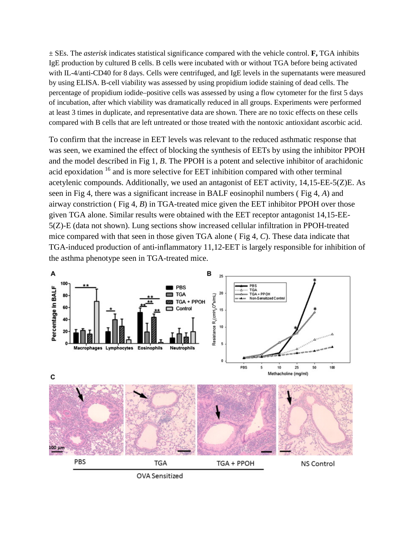± SEs. The *asterisk* indicates statistical significance compared with the vehicle control. **F,** TGA inhibits IgE production by cultured B cells. B cells were incubated with or without TGA before being activated with IL-4/anti-CD40 for 8 days. Cells were centrifuged, and IgE levels in the supernatants were measured by using ELISA. B-cell viability was assessed by using propidium iodide staining of dead cells. The percentage of propidium iodide–positive cells was assessed by using a flow cytometer for the first 5 days of incubation, after which viability was dramatically reduced in all groups. Experiments were performed at least 3 times in duplicate, and representative data are shown. There are no toxic effects on these cells compared with B cells that are left untreated or those treated with the nontoxic antioxidant ascorbic acid.

To confirm that the increase in EET levels was relevant to the reduced asthmatic response that was seen, we examined the effect of blocking the synthesis of EETs by using the inhibitor PPOH and the model described in Fig 1, *B*. The PPOH is a potent and selective inhibitor of arachidonic acid epoxidation <sup>16</sup> and is more selective for EET inhibition compared with other terminal acetylenic compounds. Additionally, we used an antagonist of EET activity, 14,15-EE-5(Z)E. As seen in Fig 4, there was a significant increase in BALF eosinophil numbers ( Fig 4, *A*) and airway constriction ( Fig 4, *B*) in TGA-treated mice given the EET inhibitor PPOH over those given TGA alone. Similar results were obtained with the EET receptor antagonist 14,15-EE-5(Z)-E (data not shown). Lung sections show increased cellular infiltration in PPOH-treated mice compared with that seen in those given TGA alone ( Fig 4, *C*). These data indicate that TGA-induced production of anti-inflammatory 11,12-EET is largely responsible for inhibition of the asthma phenotype seen in TGA-treated mice.



**OVA Sensitized**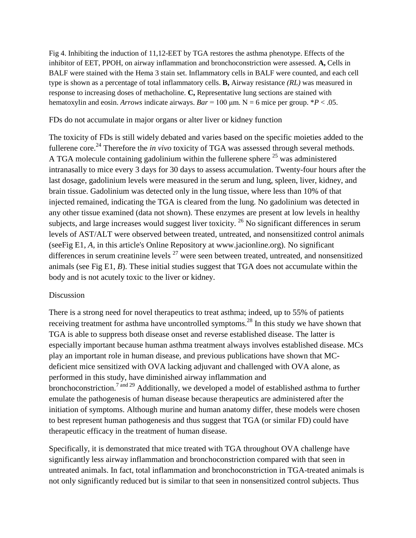Fig 4. Inhibiting the induction of 11,12-EET by TGA restores the asthma phenotype. Effects of the inhibitor of EET, PPOH, on airway inflammation and bronchoconstriction were assessed. **A,** Cells in BALF were stained with the Hema 3 stain set. Inflammatory cells in BALF were counted, and each cell type is shown as a percentage of total inflammatory cells. **B,** Airway resistance *(RL)* was measured in response to increasing doses of methacholine. **C,** Representative lung sections are stained with hematoxylin and eosin. *Arrows* indicate airways.  $Bar = 100 \mu m$ . N = 6 mice per group. \**P* < .05.

### FDs do not accumulate in major organs or alter liver or kidney function

The toxicity of FDs is still widely debated and varies based on the specific moieties added to the fullerene core.<sup>24</sup> Therefore the *in vivo* toxicity of TGA was assessed through several methods. A TGA molecule containing gadolinium within the fullerene sphere  $25$  was administered intranasally to mice every 3 days for 30 days to assess accumulation. Twenty-four hours after the last dosage, gadolinium levels were measured in the serum and lung, spleen, liver, kidney, and brain tissue. Gadolinium was detected only in the lung tissue, where less than 10% of that injected remained, indicating the TGA is cleared from the lung. No gadolinium was detected in any other tissue examined (data not shown). These enzymes are present at low levels in healthy subjects, and large increases would suggest liver toxicity. <sup>26</sup> No significant differences in serum levels of AST/ALT were observed between treated, untreated, and nonsensitized control animals (seeFig E1, *A*, in this article's Online Repository at www.jacionline.org). No significant differences in serum creatinine levels  $27$  were seen between treated, untreated, and nonsensitized animals (see Fig E1, *B*). These initial studies suggest that TGA does not accumulate within the body and is not acutely toxic to the liver or kidney.

#### Discussion

There is a strong need for novel therapeutics to treat asthma; indeed, up to 55% of patients receiving treatment for asthma have uncontrolled symptoms.<sup>28</sup> In this study we have shown that TGA is able to suppress both disease onset and reverse established disease. The latter is especially important because human asthma treatment always involves established disease. MCs play an important role in human disease, and previous publications have shown that MCdeficient mice sensitized with OVA lacking adjuvant and challenged with OVA alone, as performed in this study, have diminished airway inflammation and bronchoconstriction.<sup>7</sup> and <sup>29</sup> Additionally, we developed a model of established asthma to further emulate the pathogenesis of human disease because therapeutics are administered after the initiation of symptoms. Although murine and human anatomy differ, these models were chosen to best represent human pathogenesis and thus suggest that TGA (or similar FD) could have therapeutic efficacy in the treatment of human disease.

Specifically, it is demonstrated that mice treated with TGA throughout OVA challenge have significantly less airway inflammation and bronchoconstriction compared with that seen in untreated animals. In fact, total inflammation and bronchoconstriction in TGA-treated animals is not only significantly reduced but is similar to that seen in nonsensitized control subjects. Thus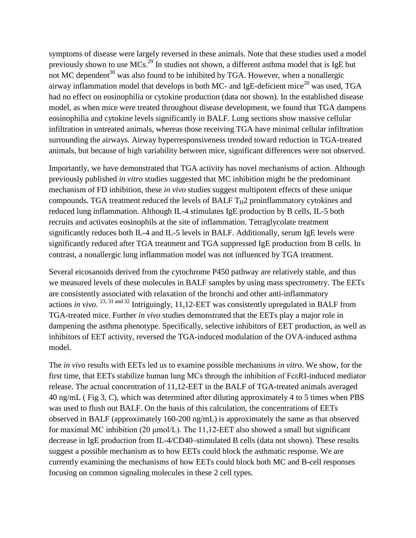symptoms of disease were largely reversed in these animals. Note that these studies used a model previously shown to use MCs.<sup>29</sup> In studies not shown, a different asthma model that is IgE but not MC dependent<sup>30</sup> was also found to be inhibited by TGA. However, when a nonallergic airway inflammation model that develops in both MC- and IgE-deficient mice<sup>20</sup> was used, TGA had no effect on eosinophilia or cytokine production (data not shown). In the established disease model, as when mice were treated throughout disease development, we found that TGA dampens eosinophilia and cytokine levels significantly in BALF. Lung sections show massive cellular infiltration in untreated animals, whereas those receiving TGA have minimal cellular infiltration surrounding the airways. Airway hyperresponsiveness trended toward reduction in TGA-treated animals, but because of high variability between mice, significant differences were not observed.

Importantly, we have demonstrated that TGA activity has novel mechanisms of action. Although previously published *in vitro* studies suggested that MC inhibition might be the predominant mechanism of FD inhibition, these *in vivo* studies suggest multipotent effects of these unique compounds. TGA treatment reduced the levels of BALF  $T_H2$  proinflammatory cytokines and reduced lung inflammation. Although IL-4 stimulates IgE production by B cells, IL-5 both recruits and activates eosinophils at the site of inflammation. Tetraglycolate treatment significantly reduces both IL-4 and IL-5 levels in BALF. Additionally, serum IgE levels were significantly reduced after TGA treatment and TGA suppressed IgE production from B cells. In contrast, a nonallergic lung inflammation model was not influenced by TGA treatment.

Several eicosanoids derived from the cytochrome P450 pathway are relatively stable, and thus we measured levels of these molecules in BALF samples by using mass spectrometry. The EETs are consistently associated with relaxation of the bronchi and other anti-inflammatory actions *in vivo*. 23, <sup>31</sup> and <sup>32</sup> Intriguingly, 11,12-EET was consistently upregulated in BALF from TGA-treated mice. Further *in vivo* studies demonstrated that the EETs play a major role in dampening the asthma phenotype. Specifically, selective inhibitors of EET production, as well as inhibitors of EET activity, reversed the TGA-induced modulation of the OVA-induced asthma model.

The *in vivo* results with EETs led us to examine possible mechanisms *in vitro*. We show, for the first time, that EETs stabilize human lung MCs through the inhibition of FcεRI-induced mediator release. The actual concentration of 11,12-EET in the BALF of TGA-treated animals averaged 40 ng/mL ( Fig 3, *C*), which was determined after diluting approximately 4 to 5 times when PBS was used to flush out BALF. On the basis of this calculation, the concentrations of EETs observed in BALF (approximately 160-200 ng/mL) is approximately the same as that observed for maximal MC inhibition (20 μmol/L). The 11,12-EET also showed a small but significant decrease in IgE production from IL-4/CD40–stimulated B cells (data not shown). These results suggest a possible mechanism as to how EETs could block the asthmatic response. We are currently examining the mechanisms of how EETs could block both MC and B-cell responses focusing on common signaling molecules in these 2 cell types.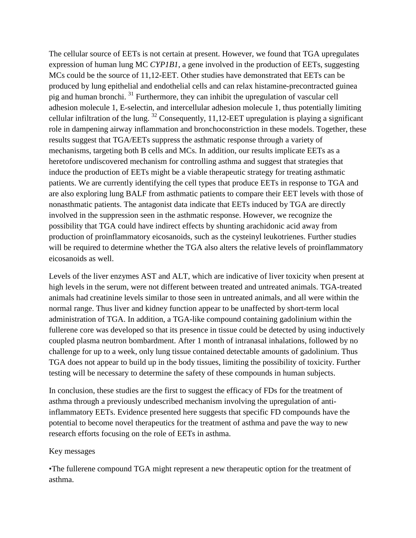The cellular source of EETs is not certain at present. However, we found that TGA upregulates expression of human lung MC *CYP1B1*, a gene involved in the production of EETs, suggesting MCs could be the source of 11,12-EET. Other studies have demonstrated that EETs can be produced by lung epithelial and endothelial cells and can relax histamine-precontracted guinea pig and human bronchi. <sup>31</sup> Furthermore, they can inhibit the upregulation of vascular cell adhesion molecule 1, E-selectin, and intercellular adhesion molecule 1, thus potentially limiting cellular infiltration of the lung.  $32$  Consequently, 11,12-EET upregulation is playing a significant role in dampening airway inflammation and bronchoconstriction in these models. Together, these results suggest that TGA/EETs suppress the asthmatic response through a variety of mechanisms, targeting both B cells and MCs. In addition, our results implicate EETs as a heretofore undiscovered mechanism for controlling asthma and suggest that strategies that induce the production of EETs might be a viable therapeutic strategy for treating asthmatic patients. We are currently identifying the cell types that produce EETs in response to TGA and are also exploring lung BALF from asthmatic patients to compare their EET levels with those of nonasthmatic patients. The antagonist data indicate that EETs induced by TGA are directly involved in the suppression seen in the asthmatic response. However, we recognize the possibility that TGA could have indirect effects by shunting arachidonic acid away from production of proinflammatory eicosanoids, such as the cysteinyl leukotrienes. Further studies will be required to determine whether the TGA also alters the relative levels of proinflammatory eicosanoids as well.

Levels of the liver enzymes AST and ALT, which are indicative of liver toxicity when present at high levels in the serum, were not different between treated and untreated animals. TGA-treated animals had creatinine levels similar to those seen in untreated animals, and all were within the normal range. Thus liver and kidney function appear to be unaffected by short-term local administration of TGA. In addition, a TGA-like compound containing gadolinium within the fullerene core was developed so that its presence in tissue could be detected by using inductively coupled plasma neutron bombardment. After 1 month of intranasal inhalations, followed by no challenge for up to a week, only lung tissue contained detectable amounts of gadolinium. Thus TGA does not appear to build up in the body tissues, limiting the possibility of toxicity. Further testing will be necessary to determine the safety of these compounds in human subjects.

In conclusion, these studies are the first to suggest the efficacy of FDs for the treatment of asthma through a previously undescribed mechanism involving the upregulation of antiinflammatory EETs. Evidence presented here suggests that specific FD compounds have the potential to become novel therapeutics for the treatment of asthma and pave the way to new research efforts focusing on the role of EETs in asthma.

#### Key messages

•The fullerene compound TGA might represent a new therapeutic option for the treatment of asthma.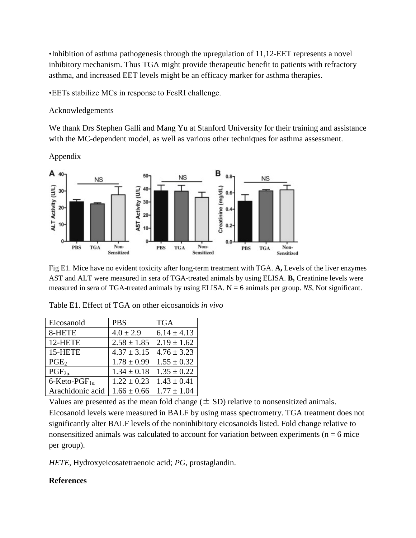•Inhibition of asthma pathogenesis through the upregulation of 11,12-EET represents a novel inhibitory mechanism. Thus TGA might provide therapeutic benefit to patients with refractory asthma, and increased EET levels might be an efficacy marker for asthma therapies.

•EETs stabilize MCs in response to FcεRI challenge.

### Acknowledgements

We thank Drs Stephen Galli and Mang Yu at Stanford University for their training and assistance with the MC-dependent model, as well as various other techniques for asthma assessment.

Appendix



Fig E1. Mice have no evident toxicity after long-term treatment with TGA. **A,** Levels of the liver enzymes AST and ALT were measured in sera of TGA-treated animals by using ELISA. **B,** Creatinine levels were measured in sera of TGA-treated animals by using ELISA. N = 6 animals per group. *NS*, Not significant.

| Eicosanoid              | <b>PBS</b>      | <b>TGA</b>      |
|-------------------------|-----------------|-----------------|
| 8-HETE                  | $4.0 \pm 2.9$   | $6.14 \pm 4.13$ |
| 12-HETE                 | $2.58 \pm 1.85$ | $2.19 \pm 1.62$ |
| 15-HETE                 | $4.37 \pm 3.15$ | $4.76 \pm 3.23$ |
| PGE <sub>2</sub>        | $1.78 \pm 0.99$ | $1.55 \pm 0.32$ |
| $PGF_{2\alpha}$         | $1.34 \pm 0.18$ | $1.35 \pm 0.22$ |
| 6-Keto-PGF $_{1\alpha}$ | $1.22 \pm 0.23$ | $1.43 \pm 0.41$ |
| Arachidonic acid        | $1.66 \pm 0.66$ | $1.77 \pm 1.04$ |

Table E1. Effect of TGA on other eicosanoids *in vivo*

Values are presented as the mean fold change  $(\pm SD)$  relative to nonsensitized animals.

Eicosanoid levels were measured in BALF by using mass spectrometry. TGA treatment does not significantly alter BALF levels of the noninhibitory eicosanoids listed. Fold change relative to nonsensitized animals was calculated to account for variation between experiments ( $n = 6$  mice per group).

*HETE*, Hydroxyeicosatetraenoic acid; *PG*, prostaglandin.

### **References**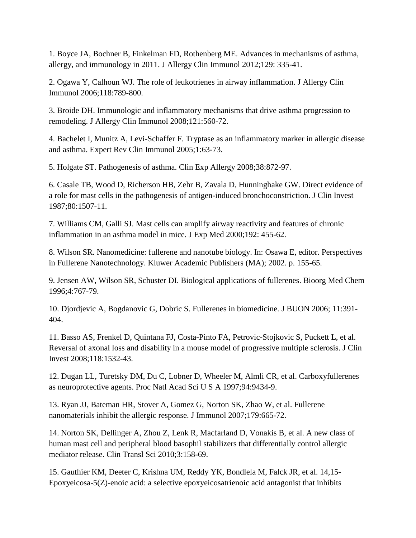1. Boyce JA, Bochner B, Finkelman FD, Rothenberg ME. Advances in mechanisms of asthma, allergy, and immunology in 2011. J Allergy Clin Immunol 2012;129: 335-41.

2. Ogawa Y, Calhoun WJ. The role of leukotrienes in airway inflammation. J Allergy Clin Immunol 2006;118:789-800.

3. Broide DH. Immunologic and inflammatory mechanisms that drive asthma progression to remodeling. J Allergy Clin Immunol 2008;121:560-72.

4. Bachelet I, Munitz A, Levi-Schaffer F. Tryptase as an inflammatory marker in allergic disease and asthma. Expert Rev Clin Immunol 2005;1:63-73.

5. Holgate ST. Pathogenesis of asthma. Clin Exp Allergy 2008;38:872-97.

6. Casale TB, Wood D, Richerson HB, Zehr B, Zavala D, Hunninghake GW. Direct evidence of a role for mast cells in the pathogenesis of antigen-induced bronchoconstriction. J Clin Invest 1987;80:1507-11.

7. Williams CM, Galli SJ. Mast cells can amplify airway reactivity and features of chronic inflammation in an asthma model in mice. J Exp Med 2000;192: 455-62.

8. Wilson SR. Nanomedicine: fullerene and nanotube biology. In: Osawa E, editor. Perspectives in Fullerene Nanotechnology. Kluwer Academic Publishers (MA); 2002. p. 155-65.

9. Jensen AW, Wilson SR, Schuster DI. Biological applications of fullerenes. Bioorg Med Chem 1996;4:767-79.

10. Djordjevic A, Bogdanovic G, Dobric S. Fullerenes in biomedicine. J BUON 2006; 11:391- 404.

11. Basso AS, Frenkel D, Quintana FJ, Costa-Pinto FA, Petrovic-Stojkovic S, Puckett L, et al. Reversal of axonal loss and disability in a mouse model of progressive multiple sclerosis. J Clin Invest 2008;118:1532-43.

12. Dugan LL, Turetsky DM, Du C, Lobner D, Wheeler M, Almli CR, et al. Carboxyfullerenes as neuroprotective agents. Proc Natl Acad Sci U S A 1997;94:9434-9.

13. Ryan JJ, Bateman HR, Stover A, Gomez G, Norton SK, Zhao W, et al. Fullerene nanomaterials inhibit the allergic response. J Immunol 2007;179:665-72.

14. Norton SK, Dellinger A, Zhou Z, Lenk R, Macfarland D, Vonakis B, et al. A new class of human mast cell and peripheral blood basophil stabilizers that differentially control allergic mediator release. Clin Transl Sci 2010;3:158-69.

15. Gauthier KM, Deeter C, Krishna UM, Reddy YK, Bondlela M, Falck JR, et al. 14,15- Epoxyeicosa-5(Z)-enoic acid: a selective epoxyeicosatrienoic acid antagonist that inhibits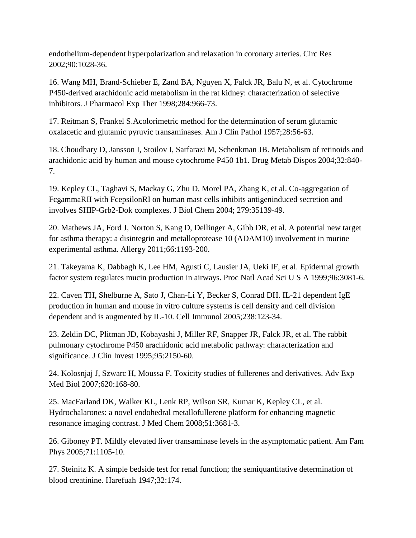endothelium-dependent hyperpolarization and relaxation in coronary arteries. Circ Res 2002;90:1028-36.

16. Wang MH, Brand-Schieber E, Zand BA, Nguyen X, Falck JR, Balu N, et al. Cytochrome P450-derived arachidonic acid metabolism in the rat kidney: characterization of selective inhibitors. J Pharmacol Exp Ther 1998;284:966-73.

17. Reitman S, Frankel S.Acolorimetric method for the determination of serum glutamic oxalacetic and glutamic pyruvic transaminases. Am J Clin Pathol 1957;28:56-63.

18. Choudhary D, Jansson I, Stoilov I, Sarfarazi M, Schenkman JB. Metabolism of retinoids and arachidonic acid by human and mouse cytochrome P450 1b1. Drug Metab Dispos 2004;32:840- 7.

19. Kepley CL, Taghavi S, Mackay G, Zhu D, Morel PA, Zhang K, et al. Co-aggregation of FcgammaRII with FcepsilonRI on human mast cells inhibits antigeninduced secretion and involves SHIP-Grb2-Dok complexes. J Biol Chem 2004; 279:35139-49.

20. Mathews JA, Ford J, Norton S, Kang D, Dellinger A, Gibb DR, et al. A potential new target for asthma therapy: a disintegrin and metalloprotease 10 (ADAM10) involvement in murine experimental asthma. Allergy 2011;66:1193-200.

21. Takeyama K, Dabbagh K, Lee HM, Agusti C, Lausier JA, Ueki IF, et al. Epidermal growth factor system regulates mucin production in airways. Proc Natl Acad Sci U S A 1999;96:3081-6.

22. Caven TH, Shelburne A, Sato J, Chan-Li Y, Becker S, Conrad DH. IL-21 dependent IgE production in human and mouse in vitro culture systems is cell density and cell division dependent and is augmented by IL-10. Cell Immunol 2005;238:123-34.

23. Zeldin DC, Plitman JD, Kobayashi J, Miller RF, Snapper JR, Falck JR, et al. The rabbit pulmonary cytochrome P450 arachidonic acid metabolic pathway: characterization and significance. J Clin Invest 1995;95:2150-60.

24. Kolosnjaj J, Szwarc H, Moussa F. Toxicity studies of fullerenes and derivatives. Adv Exp Med Biol 2007;620:168-80.

25. MacFarland DK, Walker KL, Lenk RP, Wilson SR, Kumar K, Kepley CL, et al. Hydrochalarones: a novel endohedral metallofullerene platform for enhancing magnetic resonance imaging contrast. J Med Chem 2008;51:3681-3.

26. Giboney PT. Mildly elevated liver transaminase levels in the asymptomatic patient. Am Fam Phys 2005;71:1105-10.

27. Steinitz K. A simple bedside test for renal function; the semiquantitative determination of blood creatinine. Harefuah 1947;32:174.